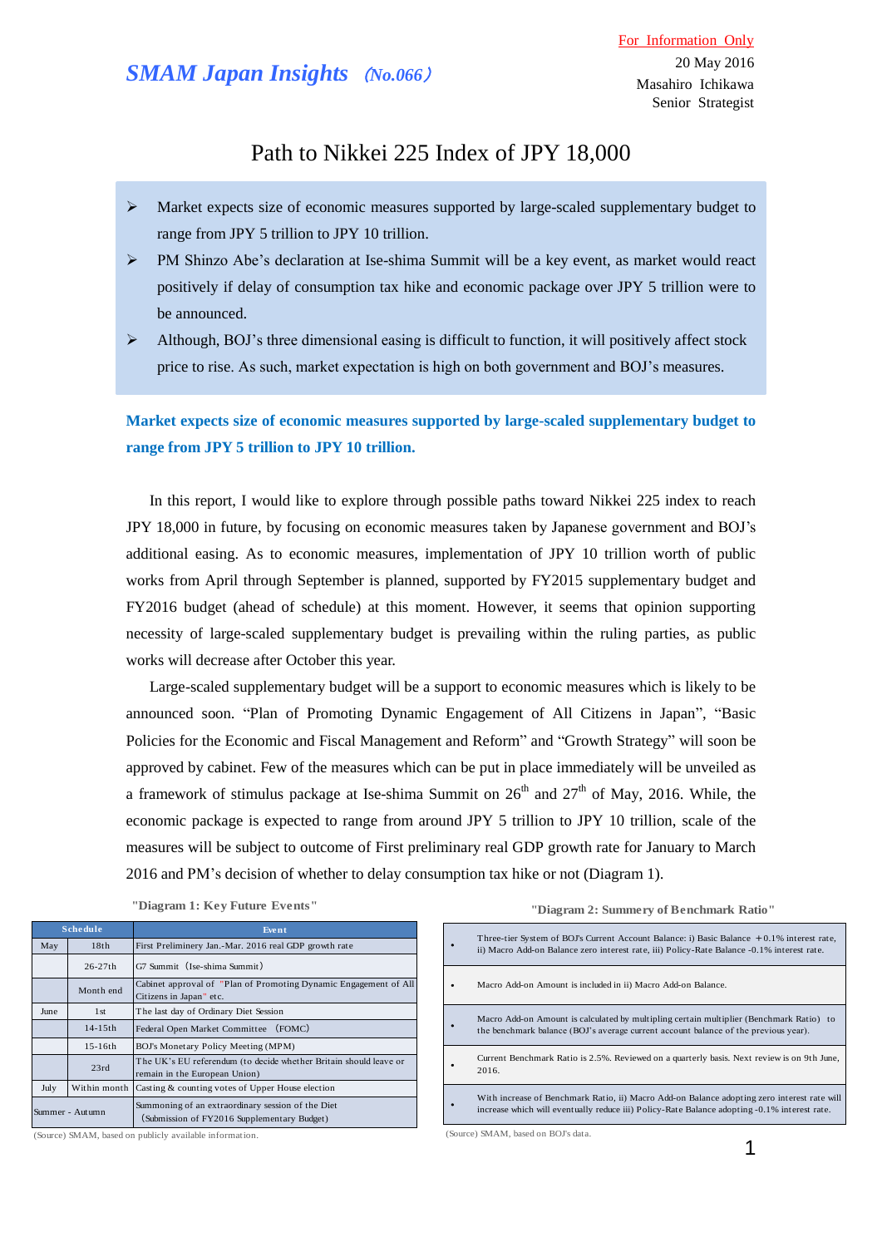# *SMAM Japan Insights* (*No.066*)

## Path to Nikkei 225 Index of JPY 18,000

- $\triangleright$  Market expects size of economic measures supported by large-scaled supplementary budget to range from JPY 5 trillion to JPY 10 trillion.
- PM Shinzo Abe's declaration at Ise-shima Summit will be a key event, as market would react positively if delay of consumption tax hike and economic package over JPY 5 trillion were to be announced.
- $\triangleright$  Although, BOJ's three dimensional easing is difficult to function, it will positively affect stock price to rise. As such, market expectation is high on both government and BOJ's measures.

**Market expects size of economic measures supported by large-scaled supplementary budget to range from JPY 5 trillion to JPY 10 trillion.** 

In this report, I would like to explore through possible paths toward Nikkei 225 index to reach JPY 18,000 in future, by focusing on economic measures taken by Japanese government and BOJ's additional easing. As to economic measures, implementation of JPY 10 trillion worth of public works from April through September is planned, supported by FY2015 supplementary budget and FY2016 budget (ahead of schedule) at this moment. However, it seems that opinion supporting necessity of large-scaled supplementary budget is prevailing within the ruling parties, as public works will decrease after October this year.

 Large-scaled supplementary budget will be a support to economic measures which is likely to be announced soon. "Plan of Promoting Dynamic Engagement of All Citizens in Japan", "Basic Policies for the Economic and Fiscal Management and Reform" and "Growth Strategy" will soon be approved by cabinet. Few of the measures which can be put in place immediately will be unveiled as a framework of stimulus package at Ise-shima Summit on  $26<sup>th</sup>$  and  $27<sup>th</sup>$  of May, 2016. While, the economic package is expected to range from around JPY 5 trillion to JPY 10 trillion, scale of the measures will be subject to outcome of First preliminary real GDP growth rate for January to March 2016 and PM's decision of whether to delay consumption tax hike or not (Diagram 1).

| <b>Schedule</b> |                 | Event                                                                                              |
|-----------------|-----------------|----------------------------------------------------------------------------------------------------|
| May             | 18th            | First Preliminery Jan.-Mar. 2016 real GDP growth rate                                              |
|                 | $26 - 27th$     | G7 Summit (Ise-shima Summit)                                                                       |
|                 | Month end       | Cabinet approval of "Plan of Promoting Dynamic Engagement of All<br>Citizens in Japan" etc.        |
| June            | 1 <sub>st</sub> | The last day of Ordinary Diet Session                                                              |
|                 | $14 - 15$ th    | (FOMC)<br>Federal Open Market Committee                                                            |
|                 | $15-16th$       | BOJ's Monetary Policy Meeting (MPM)                                                                |
|                 | 23rd            | The UK's EU referendum (to decide whether Britain should leave or<br>remain in the European Union) |
| July            | Within month    | Casting & counting votes of Upper House election                                                   |
| Summer - Autumn |                 | Summoning of an extraordinary session of the Diet<br>(Submission of FY2016 Supplementary Budget)   |

**"Diagram 1: Key Future Events"**

**"Diagram 2: Summery of Benchmark Ratio"**

|                                   | Three-tier System of BOJ's Current Account Balance: i) Basic Balance +0.1% interest rate,<br>ii) Macro Add-on Balance zero interest rate, iii) Policy-Rate Balance -0.1% interest rate.     |  |  |
|-----------------------------------|---------------------------------------------------------------------------------------------------------------------------------------------------------------------------------------------|--|--|
|                                   | Macro Add-on Amount is included in ii) Macro Add-on Balance.                                                                                                                                |  |  |
|                                   | Macro Add-on Amount is calculated by multipling certain multiplier (Benchmark Ratio) to<br>the benchmark balance (BOJ's average current account balance of the previous year).              |  |  |
|                                   | Current Benchmark Ratio is 2.5%. Reviewed on a quarterly basis. Next review is on 9th June,<br>2016.                                                                                        |  |  |
|                                   | With increase of Benchmark Ratio, ii) Macro Add-on Balance adopting zero interest rate will<br>increase which will eventually reduce iii) Policy-Rate Balance adopting -0.1% interest rate. |  |  |
| (Source) SMAM based on BOI's data |                                                                                                                                                                                             |  |  |

(Source) SMAM, based on publicly available information.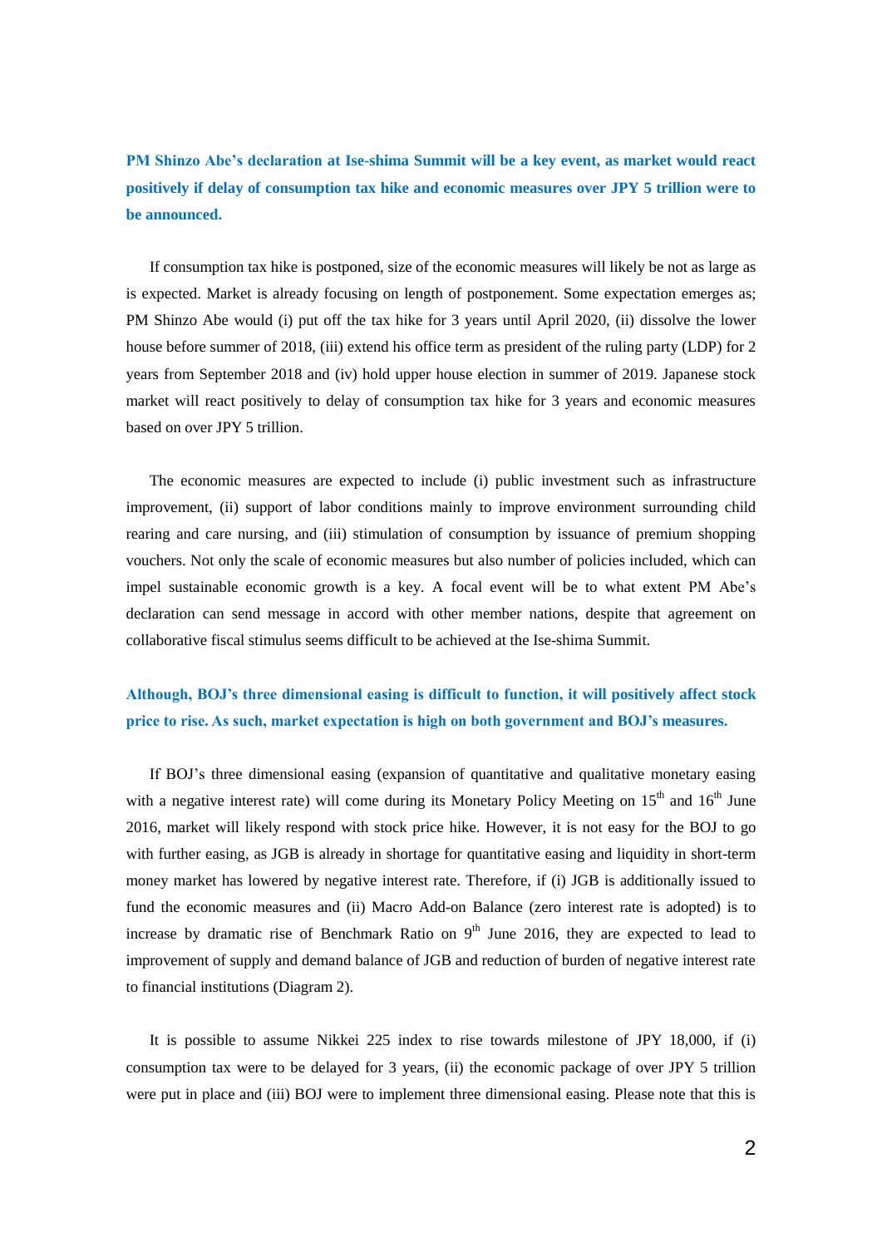**PM Shinzo Abe's declaration at Ise-shima Summit will be a key event, as market would react positively if delay of consumption tax hike and economic measures over JPY 5 trillion were to be announced.**

If consumption tax hike is postponed, size of the economic measures will likely be not as large as is expected. Market is already focusing on length of postponement. Some expectation emerges as; PM Shinzo Abe would (i) put off the tax hike for 3 years until April 2020, (ii) dissolve the lower house before summer of 2018, (iii) extend his office term as president of the ruling party (LDP) for 2 years from September 2018 and (iv) hold upper house election in summer of 2019. Japanese stock market will react positively to delay of consumption tax hike for 3 years and economic measures based on over JPY 5 trillion.

 The economic measures are expected to include (i) public investment such as infrastructure improvement, (ii) support of labor conditions mainly to improve environment surrounding child rearing and care nursing, and (iii) stimulation of consumption by issuance of premium shopping vouchers. Not only the scale of economic measures but also number of policies included, which can impel sustainable economic growth is a key. A focal event will be to what extent PM Abe's declaration can send message in accord with other member nations, despite that agreement on collaborative fiscal stimulus seems difficult to be achieved at the Ise-shima Summit.

### **Although, BOJ's three dimensional easing is difficult to function, it will positively affect stock price to rise. As such, market expectation is high on both government and BOJ's measures.**

 If BOJ's three dimensional easing (expansion of quantitative and qualitative monetary easing with a negative interest rate) will come during its Monetary Policy Meeting on  $15<sup>th</sup>$  and  $16<sup>th</sup>$  June 2016, market will likely respond with stock price hike. However, it is not easy for the BOJ to go with further easing, as JGB is already in shortage for quantitative easing and liquidity in short-term money market has lowered by negative interest rate. Therefore, if (i) JGB is additionally issued to fund the economic measures and (ii) Macro Add-on Balance (zero interest rate is adopted) is to increase by dramatic rise of Benchmark Ratio on  $9<sup>th</sup>$  June 2016, they are expected to lead to improvement of supply and demand balance of JGB and reduction of burden of negative interest rate to financial institutions (Diagram 2).

 It is possible to assume Nikkei 225 index to rise towards milestone of JPY 18,000, if (i) consumption tax were to be delayed for 3 years, (ii) the economic package of over JPY 5 trillion were put in place and (iii) BOJ were to implement three dimensional easing. Please note that this is